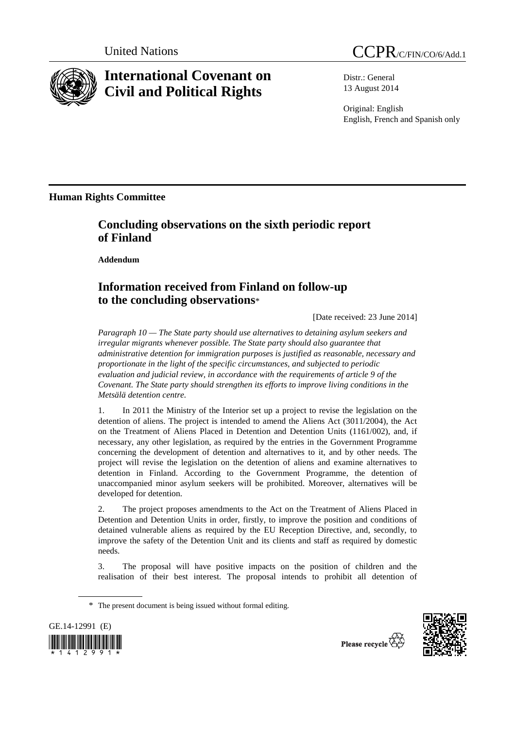

## **International Covenant on Civil and Political Rights**

Distr.: General 13 August 2014

Original: English English, French and Spanish only

**Human Rights Committee** 

## **Concluding observations on the sixth periodic report of Finland**

 **Addendum** 

## **Information received from Finland on follow-up to the concluding observations**\*

[Date received: 23 June 2014]

*Paragraph 10 — The State party should use alternatives to detaining asylum seekers and irregular migrants whenever possible. The State party should also guarantee that administrative detention for immigration purposes is justified as reasonable, necessary and proportionate in the light of the specific circumstances, and subjected to periodic evaluation and judicial review, in accordance with the requirements of article 9 of the Covenant. The State party should strengthen its efforts to improve living conditions in the Metsälä detention centre.* 

1. In 2011 the Ministry of the Interior set up a project to revise the legislation on the detention of aliens. The project is intended to amend the Aliens Act (3011/2004), the Act on the Treatment of Aliens Placed in Detention and Detention Units (1161/002), and, if necessary, any other legislation, as required by the entries in the Government Programme concerning the development of detention and alternatives to it, and by other needs. The project will revise the legislation on the detention of aliens and examine alternatives to detention in Finland. According to the Government Programme, the detention of unaccompanied minor asylum seekers will be prohibited. Moreover, alternatives will be developed for detention.

2. The project proposes amendments to the Act on the Treatment of Aliens Placed in Detention and Detention Units in order, firstly, to improve the position and conditions of detained vulnerable aliens as required by the EU Reception Directive, and, secondly, to improve the safety of the Detention Unit and its clients and staff as required by domestic needs.

3. The proposal will have positive impacts on the position of children and the realisation of their best interest. The proposal intends to prohibit all detention of

\* The present document is being issued without formal editing.



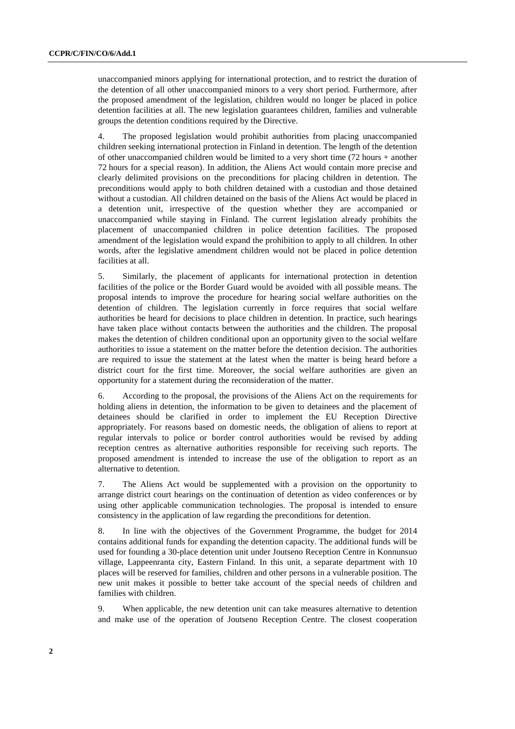unaccompanied minors applying for international protection, and to restrict the duration of the detention of all other unaccompanied minors to a very short period. Furthermore, after the proposed amendment of the legislation, children would no longer be placed in police detention facilities at all. The new legislation guarantees children, families and vulnerable groups the detention conditions required by the Directive.

4. The proposed legislation would prohibit authorities from placing unaccompanied children seeking international protection in Finland in detention. The length of the detention of other unaccompanied children would be limited to a very short time (72 hours + another 72 hours for a special reason). In addition, the Aliens Act would contain more precise and clearly delimited provisions on the preconditions for placing children in detention. The preconditions would apply to both children detained with a custodian and those detained without a custodian. All children detained on the basis of the Aliens Act would be placed in a detention unit, irrespective of the question whether they are accompanied or unaccompanied while staying in Finland. The current legislation already prohibits the placement of unaccompanied children in police detention facilities. The proposed amendment of the legislation would expand the prohibition to apply to all children. In other words, after the legislative amendment children would not be placed in police detention facilities at all.

5. Similarly, the placement of applicants for international protection in detention facilities of the police or the Border Guard would be avoided with all possible means. The proposal intends to improve the procedure for hearing social welfare authorities on the detention of children. The legislation currently in force requires that social welfare authorities be heard for decisions to place children in detention. In practice, such hearings have taken place without contacts between the authorities and the children. The proposal makes the detention of children conditional upon an opportunity given to the social welfare authorities to issue a statement on the matter before the detention decision. The authorities are required to issue the statement at the latest when the matter is being heard before a district court for the first time. Moreover, the social welfare authorities are given an opportunity for a statement during the reconsideration of the matter.

6. According to the proposal, the provisions of the Aliens Act on the requirements for holding aliens in detention, the information to be given to detainees and the placement of detainees should be clarified in order to implement the EU Reception Directive appropriately. For reasons based on domestic needs, the obligation of aliens to report at regular intervals to police or border control authorities would be revised by adding reception centres as alternative authorities responsible for receiving such reports. The proposed amendment is intended to increase the use of the obligation to report as an alternative to detention.

7. The Aliens Act would be supplemented with a provision on the opportunity to arrange district court hearings on the continuation of detention as video conferences or by using other applicable communication technologies. The proposal is intended to ensure consistency in the application of law regarding the preconditions for detention.

8. In line with the objectives of the Government Programme, the budget for 2014 contains additional funds for expanding the detention capacity. The additional funds will be used for founding a 30-place detention unit under Joutseno Reception Centre in Konnunsuo village, Lappeenranta city, Eastern Finland. In this unit, a separate department with 10 places will be reserved for families, children and other persons in a vulnerable position. The new unit makes it possible to better take account of the special needs of children and families with children.

9. When applicable, the new detention unit can take measures alternative to detention and make use of the operation of Joutseno Reception Centre. The closest cooperation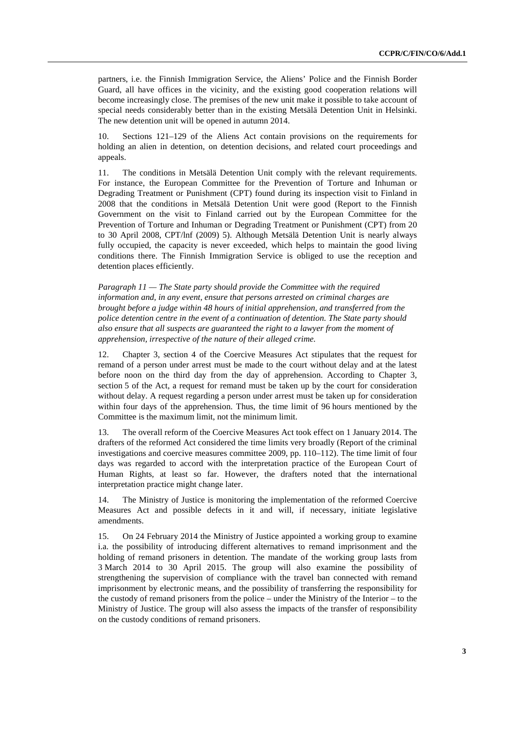partners, i.e. the Finnish Immigration Service, the Aliens' Police and the Finnish Border Guard, all have offices in the vicinity, and the existing good cooperation relations will become increasingly close. The premises of the new unit make it possible to take account of special needs considerably better than in the existing Metsälä Detention Unit in Helsinki. The new detention unit will be opened in autumn 2014.

10. Sections 121–129 of the Aliens Act contain provisions on the requirements for holding an alien in detention, on detention decisions, and related court proceedings and appeals.

11. The conditions in Metsälä Detention Unit comply with the relevant requirements. For instance, the European Committee for the Prevention of Torture and Inhuman or Degrading Treatment or Punishment (CPT) found during its inspection visit to Finland in 2008 that the conditions in Metsälä Detention Unit were good (Report to the Finnish Government on the visit to Finland carried out by the European Committee for the Prevention of Torture and Inhuman or Degrading Treatment or Punishment (CPT) from 20 to 30 April 2008, CPT/lnf (2009) 5). Although Metsälä Detention Unit is nearly always fully occupied, the capacity is never exceeded, which helps to maintain the good living conditions there. The Finnish Immigration Service is obliged to use the reception and detention places efficiently.

*Paragraph 11 — The State party should provide the Committee with the required information and, in any event, ensure that persons arrested on criminal charges are brought before a judge within 48 hours of initial apprehension, and transferred from the police detention centre in the event of a continuation of detention. The State party should also ensure that all suspects are guaranteed the right to a lawyer from the moment of apprehension, irrespective of the nature of their alleged crime.* 

12. Chapter 3, section 4 of the Coercive Measures Act stipulates that the request for remand of a person under arrest must be made to the court without delay and at the latest before noon on the third day from the day of apprehension. According to Chapter 3, section 5 of the Act, a request for remand must be taken up by the court for consideration without delay. A request regarding a person under arrest must be taken up for consideration within four days of the apprehension. Thus, the time limit of 96 hours mentioned by the Committee is the maximum limit, not the minimum limit.

13. The overall reform of the Coercive Measures Act took effect on 1 January 2014. The drafters of the reformed Act considered the time limits very broadly (Report of the criminal investigations and coercive measures committee 2009, pp. 110–112). The time limit of four days was regarded to accord with the interpretation practice of the European Court of Human Rights, at least so far. However, the drafters noted that the international interpretation practice might change later.

14. The Ministry of Justice is monitoring the implementation of the reformed Coercive Measures Act and possible defects in it and will, if necessary, initiate legislative amendments.

15. On 24 February 2014 the Ministry of Justice appointed a working group to examine i.a. the possibility of introducing different alternatives to remand imprisonment and the holding of remand prisoners in detention. The mandate of the working group lasts from 3 March 2014 to 30 April 2015. The group will also examine the possibility of strengthening the supervision of compliance with the travel ban connected with remand imprisonment by electronic means, and the possibility of transferring the responsibility for the custody of remand prisoners from the police – under the Ministry of the Interior – to the Ministry of Justice. The group will also assess the impacts of the transfer of responsibility on the custody conditions of remand prisoners.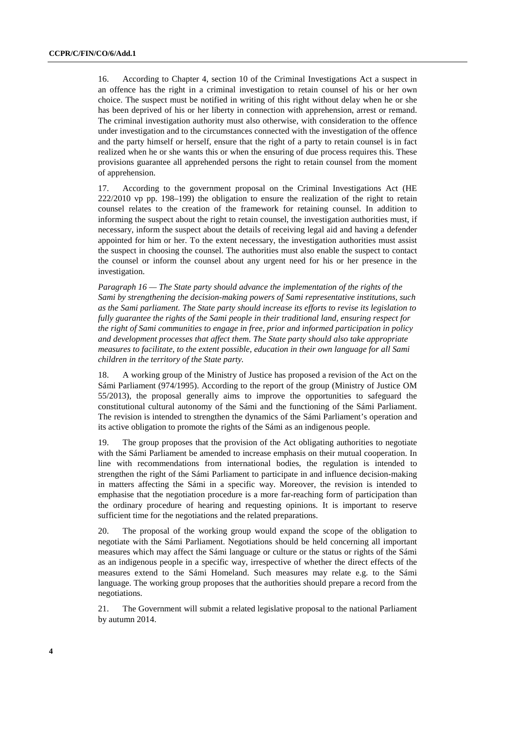16. According to Chapter 4, section 10 of the Criminal Investigations Act a suspect in an offence has the right in a criminal investigation to retain counsel of his or her own choice. The suspect must be notified in writing of this right without delay when he or she has been deprived of his or her liberty in connection with apprehension, arrest or remand. The criminal investigation authority must also otherwise, with consideration to the offence under investigation and to the circumstances connected with the investigation of the offence and the party himself or herself, ensure that the right of a party to retain counsel is in fact realized when he or she wants this or when the ensuring of due process requires this. These provisions guarantee all apprehended persons the right to retain counsel from the moment of apprehension.

17. According to the government proposal on the Criminal Investigations Act (HE 222/2010 vp pp. 198–199) the obligation to ensure the realization of the right to retain counsel relates to the creation of the framework for retaining counsel. In addition to informing the suspect about the right to retain counsel, the investigation authorities must, if necessary, inform the suspect about the details of receiving legal aid and having a defender appointed for him or her. To the extent necessary, the investigation authorities must assist the suspect in choosing the counsel. The authorities must also enable the suspect to contact the counsel or inform the counsel about any urgent need for his or her presence in the investigation.

*Paragraph 16 — The State party should advance the implementation of the rights of the Sami by strengthening the decision-making powers of Sami representative institutions, such as the Sami parliament. The State party should increase its efforts to revise its legislation to fully guarantee the rights of the Sami people in their traditional land, ensuring respect for the right of Sami communities to engage in free, prior and informed participation in policy and development processes that affect them. The State party should also take appropriate measures to facilitate, to the extent possible, education in their own language for all Sami children in the territory of the State party.* 

18. A working group of the Ministry of Justice has proposed a revision of the Act on the Sámi Parliament (974/1995). According to the report of the group (Ministry of Justice OM 55/2013), the proposal generally aims to improve the opportunities to safeguard the constitutional cultural autonomy of the Sámi and the functioning of the Sámi Parliament. The revision is intended to strengthen the dynamics of the Sámi Parliament's operation and its active obligation to promote the rights of the Sámi as an indigenous people.

19. The group proposes that the provision of the Act obligating authorities to negotiate with the Sámi Parliament be amended to increase emphasis on their mutual cooperation. In line with recommendations from international bodies, the regulation is intended to strengthen the right of the Sámi Parliament to participate in and influence decision-making in matters affecting the Sámi in a specific way. Moreover, the revision is intended to emphasise that the negotiation procedure is a more far-reaching form of participation than the ordinary procedure of hearing and requesting opinions. It is important to reserve sufficient time for the negotiations and the related preparations.

20. The proposal of the working group would expand the scope of the obligation to negotiate with the Sámi Parliament. Negotiations should be held concerning all important measures which may affect the Sámi language or culture or the status or rights of the Sámi as an indigenous people in a specific way, irrespective of whether the direct effects of the measures extend to the Sámi Homeland. Such measures may relate e.g. to the Sámi language. The working group proposes that the authorities should prepare a record from the negotiations.

21. The Government will submit a related legislative proposal to the national Parliament by autumn 2014.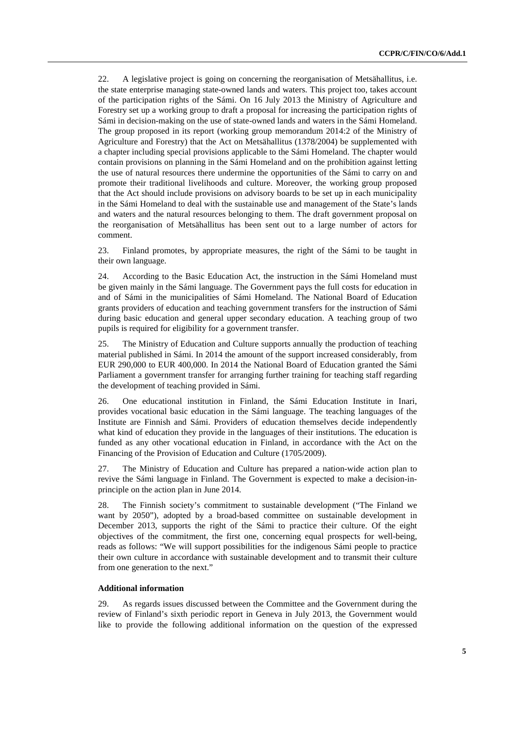22. A legislative project is going on concerning the reorganisation of Metsähallitus, i.e. the state enterprise managing state-owned lands and waters. This project too, takes account of the participation rights of the Sámi. On 16 July 2013 the Ministry of Agriculture and Forestry set up a working group to draft a proposal for increasing the participation rights of Sámi in decision-making on the use of state-owned lands and waters in the Sámi Homeland. The group proposed in its report (working group memorandum 2014:2 of the Ministry of Agriculture and Forestry) that the Act on Metsähallitus (1378/2004) be supplemented with a chapter including special provisions applicable to the Sámi Homeland. The chapter would contain provisions on planning in the Sámi Homeland and on the prohibition against letting the use of natural resources there undermine the opportunities of the Sámi to carry on and promote their traditional livelihoods and culture. Moreover, the working group proposed that the Act should include provisions on advisory boards to be set up in each municipality in the Sámi Homeland to deal with the sustainable use and management of the State's lands and waters and the natural resources belonging to them. The draft government proposal on the reorganisation of Metsähallitus has been sent out to a large number of actors for comment.

23. Finland promotes, by appropriate measures, the right of the Sámi to be taught in their own language.

24. According to the Basic Education Act, the instruction in the Sámi Homeland must be given mainly in the Sámi language. The Government pays the full costs for education in and of Sámi in the municipalities of Sámi Homeland. The National Board of Education grants providers of education and teaching government transfers for the instruction of Sámi during basic education and general upper secondary education. A teaching group of two pupils is required for eligibility for a government transfer.

25. The Ministry of Education and Culture supports annually the production of teaching material published in Sámi. In 2014 the amount of the support increased considerably, from EUR 290,000 to EUR 400,000. In 2014 the National Board of Education granted the Sámi Parliament a government transfer for arranging further training for teaching staff regarding the development of teaching provided in Sámi.

26. One educational institution in Finland, the Sámi Education Institute in Inari, provides vocational basic education in the Sámi language. The teaching languages of the Institute are Finnish and Sámi. Providers of education themselves decide independently what kind of education they provide in the languages of their institutions. The education is funded as any other vocational education in Finland, in accordance with the Act on the Financing of the Provision of Education and Culture (1705/2009).

27. The Ministry of Education and Culture has prepared a nation-wide action plan to revive the Sámi language in Finland. The Government is expected to make a decision-inprinciple on the action plan in June 2014.

28. The Finnish society's commitment to sustainable development ("The Finland we want by 2050"), adopted by a broad-based committee on sustainable development in December 2013, supports the right of the Sámi to practice their culture. Of the eight objectives of the commitment, the first one, concerning equal prospects for well-being, reads as follows: "We will support possibilities for the indigenous Sámi people to practice their own culture in accordance with sustainable development and to transmit their culture from one generation to the next."

## **Additional information**

29. As regards issues discussed between the Committee and the Government during the review of Finland's sixth periodic report in Geneva in July 2013, the Government would like to provide the following additional information on the question of the expressed